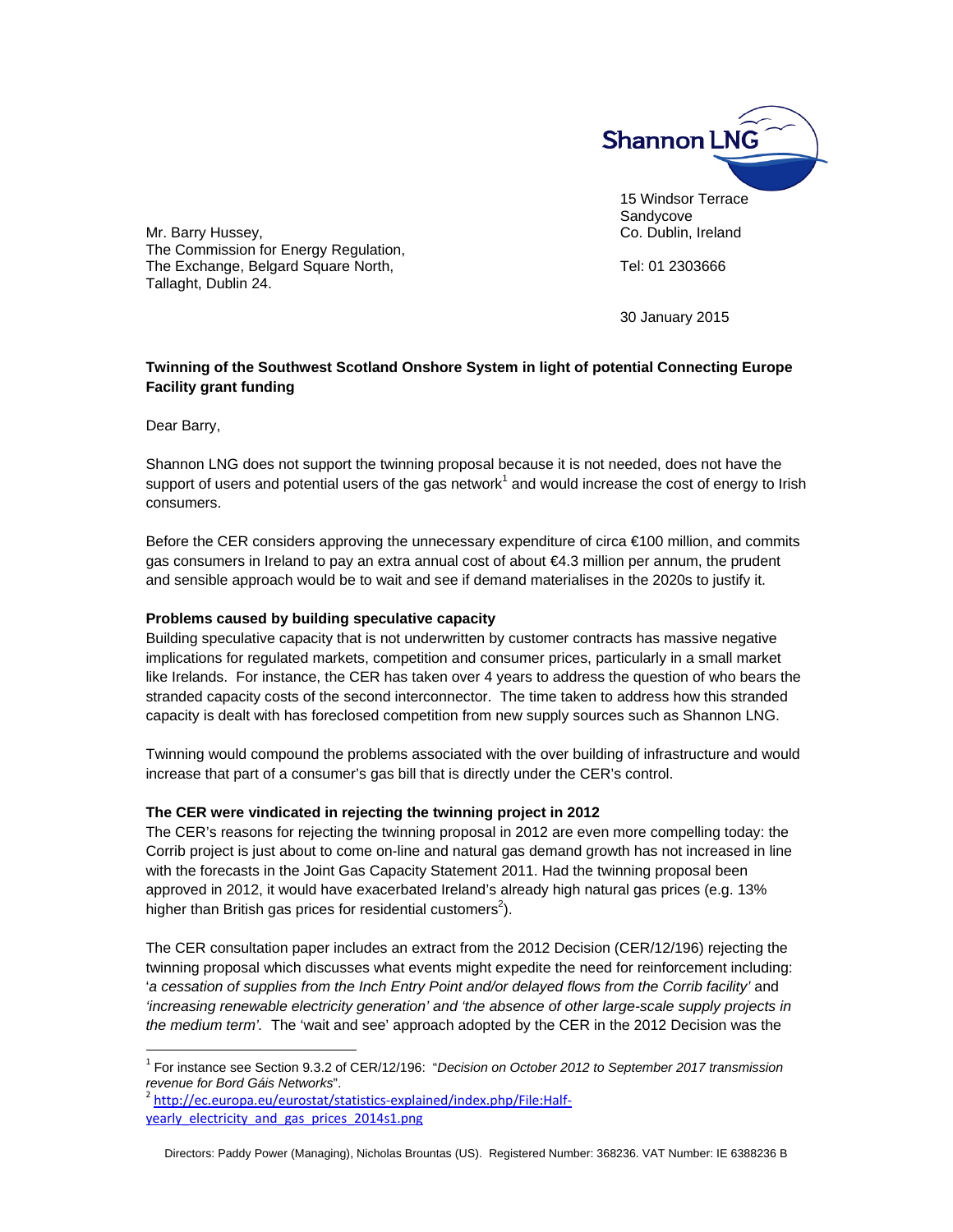

Mr. Barry Hussey, **Co. Dublin, Ireland** The Commission for Energy Regulation, The Exchange, Belgard Square North, The Exchange, Belgard Square North, Tallaght, Dublin 24.

30 January 2015

# **Twinning of the Southwest Scotland Onshore System in light of potential Connecting Europe Facility grant funding**

Dear Barry,

-

Shannon LNG does not support the twinning proposal because it is not needed, does not have the support of users and potential users of the gas network<sup>1</sup> and would increase the cost of energy to Irish consumers.

Before the CER considers approving the unnecessary expenditure of circa €100 million, and commits gas consumers in Ireland to pay an extra annual cost of about €4.3 million per annum, the prudent and sensible approach would be to wait and see if demand materialises in the 2020s to justify it.

### **Problems caused by building speculative capacity**

Building speculative capacity that is not underwritten by customer contracts has massive negative implications for regulated markets, competition and consumer prices, particularly in a small market like Irelands. For instance, the CER has taken over 4 years to address the question of who bears the stranded capacity costs of the second interconnector. The time taken to address how this stranded capacity is dealt with has foreclosed competition from new supply sources such as Shannon LNG.

Twinning would compound the problems associated with the over building of infrastructure and would increase that part of a consumer's gas bill that is directly under the CER's control.

### **The CER were vindicated in rejecting the twinning project in 2012**

The CER's reasons for rejecting the twinning proposal in 2012 are even more compelling today: the Corrib project is just about to come on-line and natural gas demand growth has not increased in line with the forecasts in the Joint Gas Capacity Statement 2011. Had the twinning proposal been approved in 2012, it would have exacerbated Ireland's already high natural gas prices (e.g. 13% higher than British gas prices for residential customers<sup>2</sup>).

The CER consultation paper includes an extract from the 2012 Decision (CER/12/196) rejecting the twinning proposal which discusses what events might expedite the need for reinforcement including: 'a cessation of supplies from the Inch Entry Point and/or delayed flows from the Corrib facility' and *'increasing renewable electricity generation' and 'the absence of other large-scale supply projects in the medium term'.* The 'wait and see' approach adopted by the CER in the 2012 Decision was the

<sup>1</sup> For instance see Section 9.3.2 of CER/12/196: "*Decision on October 2012 to September 2017 transmission revenue for Bord Gáis Networks*".<br><sup>2</sup> http://ec.europa.eu/eurostat/statistics-explained/index.php/File:Half-

yearly\_electricity\_and\_gas\_prices\_2014s1.png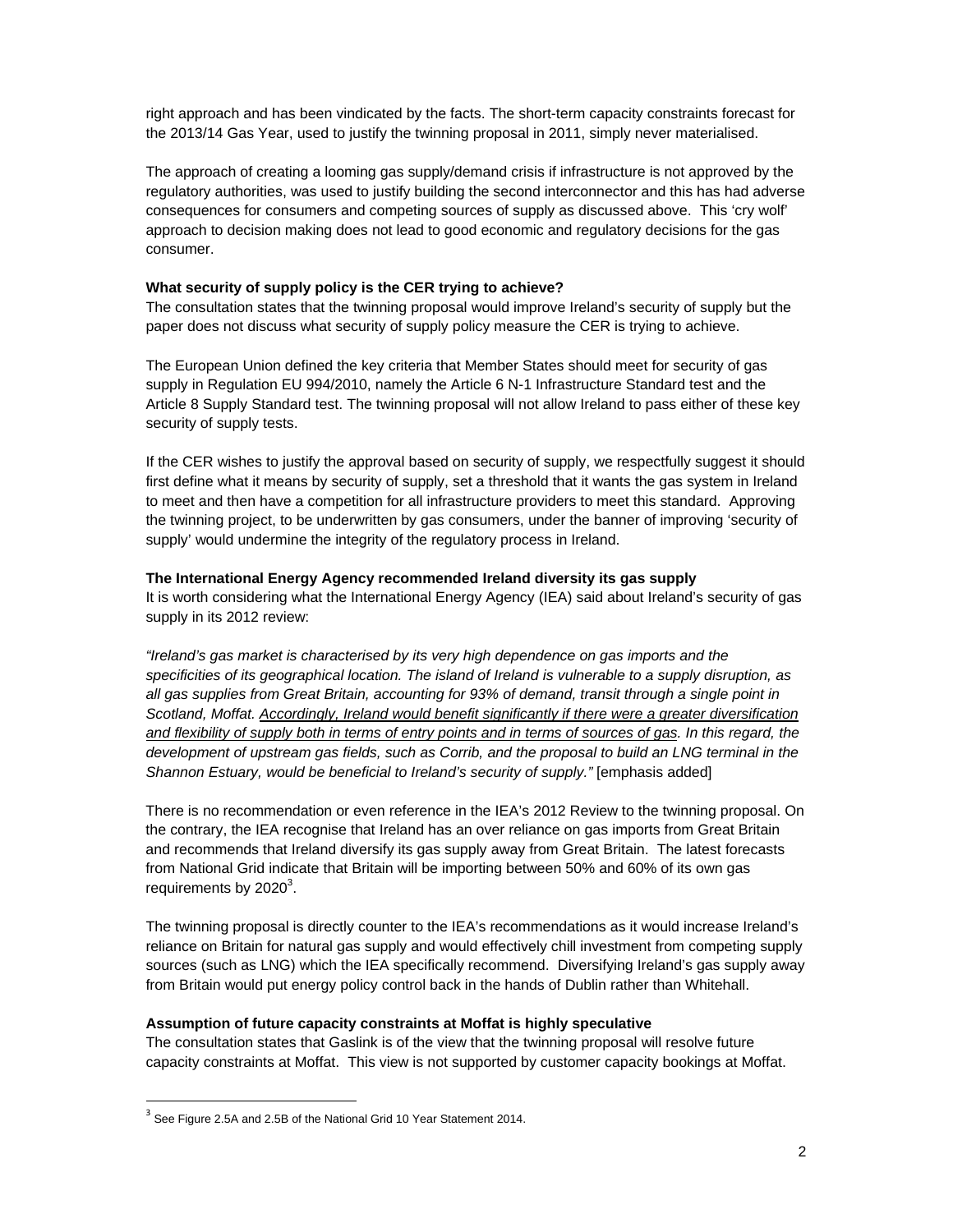right approach and has been vindicated by the facts. The short-term capacity constraints forecast for the 2013/14 Gas Year, used to justify the twinning proposal in 2011, simply never materialised.

The approach of creating a looming gas supply/demand crisis if infrastructure is not approved by the regulatory authorities, was used to justify building the second interconnector and this has had adverse consequences for consumers and competing sources of supply as discussed above. This 'cry wolf' approach to decision making does not lead to good economic and regulatory decisions for the gas consumer.

### **What security of supply policy is the CER trying to achieve?**

The consultation states that the twinning proposal would improve Ireland's security of supply but the paper does not discuss what security of supply policy measure the CER is trying to achieve.

The European Union defined the key criteria that Member States should meet for security of gas supply in Regulation EU 994/2010, namely the Article 6 N-1 Infrastructure Standard test and the Article 8 Supply Standard test. The twinning proposal will not allow Ireland to pass either of these key security of supply tests.

If the CER wishes to justify the approval based on security of supply, we respectfully suggest it should first define what it means by security of supply, set a threshold that it wants the gas system in Ireland to meet and then have a competition for all infrastructure providers to meet this standard. Approving the twinning project, to be underwritten by gas consumers, under the banner of improving 'security of supply' would undermine the integrity of the regulatory process in Ireland.

### **The International Energy Agency recommended Ireland diversity its gas supply**

It is worth considering what the International Energy Agency (IEA) said about Ireland's security of gas supply in its 2012 review:

*"Ireland's gas market is characterised by its very high dependence on gas imports and the specificities of its geographical location. The island of Ireland is vulnerable to a supply disruption, as all gas supplies from Great Britain, accounting for 93% of demand, transit through a single point in Scotland, Moffat. Accordingly, Ireland would benefit significantly if there were a greater diversification and flexibility of supply both in terms of entry points and in terms of sources of gas. In this regard, the development of upstream gas fields, such as Corrib, and the proposal to build an LNG terminal in the Shannon Estuary, would be beneficial to Ireland's security of supply.*" [emphasis added]

There is no recommendation or even reference in the IEA's 2012 Review to the twinning proposal. On the contrary, the IEA recognise that Ireland has an over reliance on gas imports from Great Britain and recommends that Ireland diversify its gas supply away from Great Britain. The latest forecasts from National Grid indicate that Britain will be importing between 50% and 60% of its own gas requirements by  $2020^3$ .

The twinning proposal is directly counter to the IEA's recommendations as it would increase Ireland's reliance on Britain for natural gas supply and would effectively chill investment from competing supply sources (such as LNG) which the IEA specifically recommend. Diversifying Ireland's gas supply away from Britain would put energy policy control back in the hands of Dublin rather than Whitehall.

### **Assumption of future capacity constraints at Moffat is highly speculative**

The consultation states that Gaslink is of the view that the twinning proposal will resolve future capacity constraints at Moffat. This view is not supported by customer capacity bookings at Moffat.

-

 $3$  See Figure 2.5A and 2.5B of the National Grid 10 Year Statement 2014.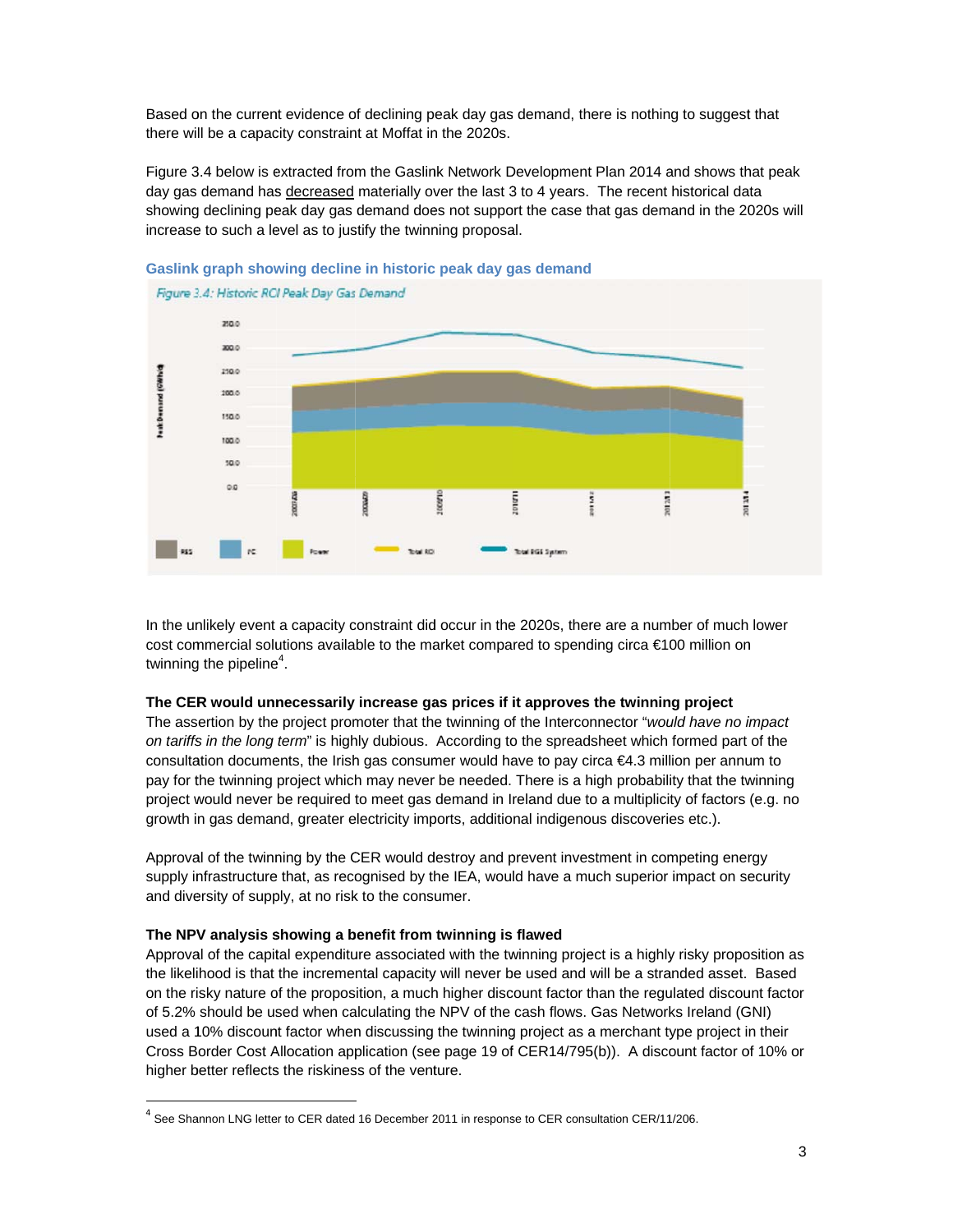Based on the current evidence of declining peak day gas demand, there is nothing to suggest that there will be a capacity constraint at Moffat in the 2020s.

Figure 3.4 below is extracted from the Gaslink Network Development Plan 2014 and shows that peak day gas demand has decreased materially over the last 3 to 4 years. The recent historical data showing declining peak day gas demand does not support the case that gas demand in the 2020s will increase to such a level as to justify the twinning proposal.





In the unlikely event a capacity constraint did occur in the 2020s, there are a number of much lower cost commercial solutions available to the market compared to spending circa €100 million on twinning the pipeline<sup>4</sup>.

### The CER would unnecessarily increase gas prices if it approves the twinning project

The assertion by the project promoter that the twinning of the Interconnector "would have no impact on tariffs in the long term" is highly dubious. According to the spreadsheet which formed part of the consultation documents, the Irish gas consumer would have to pay circa €4.3 million per annum to pay for the twinning project which may never be needed. There is a high probability that the twinning project would never be required to meet gas demand in Ireland due to a multiplicity of factors (e.g. no growth in gas demand, greater electricity imports, additional indigenous discoveries etc.).

Approval of the twinning by the CER would destroy and prevent investment in competing energy supply infrastructure that, as recognised by the IEA, would have a much superior impact on security and diversity of supply, at no risk to the consumer.

### The NPV analysis showing a benefit from twinning is flawed

Approval of the capital expenditure associated with the twinning project is a highly risky proposition as the likelihood is that the incremental capacity will never be used and will be a stranded asset. Based on the risky nature of the proposition, a much higher discount factor than the regulated discount factor of 5.2% should be used when calculating the NPV of the cash flows. Gas Networks Ireland (GNI) used a 10% discount factor when discussing the twinning project as a merchant type project in their Cross Border Cost Allocation application (see page 19 of CER14/795(b)). A discount factor of 10% or higher better reflects the riskiness of the venture.

 $^4$  See Shannon LNG letter to CER dated 16 December 2011 in response to CER consultation CER/11/206.